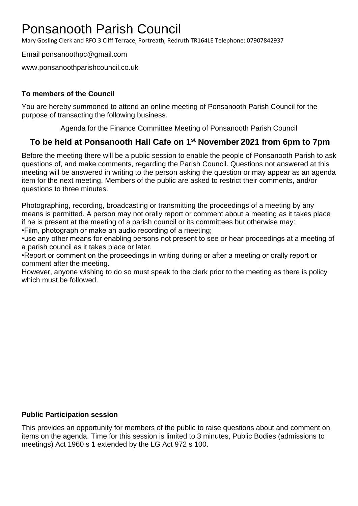# Ponsanooth Parish Council

Mary Gosling Clerk and RFO 3 Cliff Terrace, Portreath, Redruth TR164LE Telephone: 07907842937

Email ponsanoothpc@gmail.com

www.ponsanoothparishcouncil.co.uk

### **To members of the Council**

You are hereby summoned to attend an online meeting of Ponsanooth Parish Council for the purpose of transacting the following business.

Agenda for the Finance Committee Meeting of Ponsanooth Parish Council

## **To be held at Ponsanooth Hall Cafe on 1 st November 2021 from 6pm to 7pm**

Before the meeting there will be a public session to enable the people of Ponsanooth Parish to ask questions of, and make comments, regarding the Parish Council. Questions not answered at this meeting will be answered in writing to the person asking the question or may appear as an agenda item for the next meeting. Members of the public are asked to restrict their comments, and/or questions to three minutes.

Photographing, recording, broadcasting or transmitting the proceedings of a meeting by any means is permitted. A person may not orally report or comment about a meeting as it takes place if he is present at the meeting of a parish council or its committees but otherwise may: •Film, photograph or make an audio recording of a meeting;

•use any other means for enabling persons not present to see or hear proceedings at a meeting of a parish council as it takes place or later.

•Report or comment on the proceedings in writing during or after a meeting or orally report or comment after the meeting.

However, anyone wishing to do so must speak to the clerk prior to the meeting as there is policy which must be followed.

#### **Public Participation session**

This provides an opportunity for members of the public to raise questions about and comment on items on the agenda. Time for this session is limited to 3 minutes, Public Bodies (admissions to meetings) Act 1960 s 1 extended by the LG Act 972 s 100.